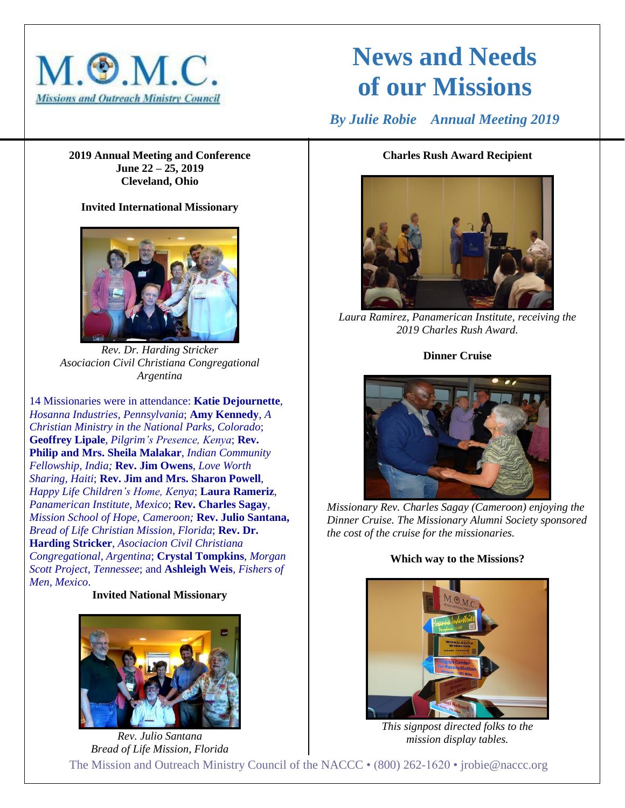

# **News and Needs of our Missions**

 *By Julie Robie Annual Meeting 2019*

**2019 Annual Meeting and Conference June 22 – 25, 2019 Cleveland, Ohio**

# **Invited International Missionary**



*Rev. Dr. Harding Stricker Asociacion Civil Christiana Congregational Argentina*

14 Missionaries were in attendance: **Katie Dejournette**, *Hosanna Industries, Pennsylvania*; **Amy Kennedy**, *A Christian Ministry in the National Parks, Colorado*; **Geoffrey Lipale**, *Pilgrim's Presence, Kenya*; **Rev. Philip and Mrs. Sheila Malakar**, *Indian Community Fellowship, India;* **Rev. Jim Owens**, *Love Worth Sharing, Haiti*; **Rev. Jim and Mrs. Sharon Powell**, *Happy Life Children's Home, Kenya*; **Laura Rameriz**, *Panamerican Institute, Mexico*; **Rev. Charles Sagay**, *Mission School of Hope, Cameroon;* **Rev. Julio Santana,** *Bread of Life Christian Mission, Florida*; **Rev. Dr. Harding Stricker**, *Asociacion Civil Christiana Congregational, Argentina*; **Crystal Tompkins**, *Morgan Scott Project, Tennessee*; and **Ashleigh Weis**, *Fishers of Men, Mexico*.

**Invited National Missionary**



#### The Mission and Outreach Ministry Council of the NACCC • (800) 262-1620 • jrobie@naccc.org *Rev. Julio Santana Bread of Life Mission, Florida mission display tables.*

## **Charles Rush Award Recipient**



*Laura Ramirez, Panamerican Institute, receiving the 2019 Charles Rush Award.*

## **Dinner Cruise**



*Missionary Rev. Charles Sagay (Cameroon) enjoying the Dinner Cruise. The Missionary Alumni Society sponsored the cost of the cruise for the missionaries.*

# **Which way to the Missions?**



*This signpost directed folks to the*